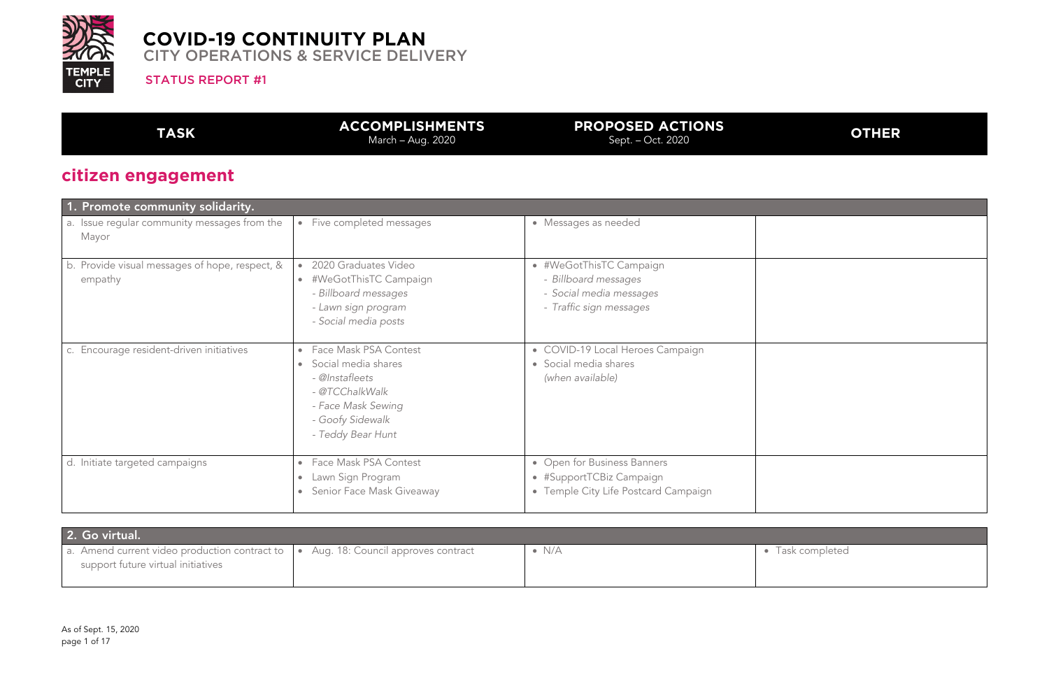

#### **PROPOSED ACTIONS POSED ACTIONS**<br>Sept. – Oct. 2020

#### STATUS REPORT #1

**TASK ACCOMPLISHMENTS** March – Aug. 2020

Task completed

# **citizen engagement**

| 1. Promote community solidarity.                          |                                                                                                                                                                |                                                                                                       |  |
|-----------------------------------------------------------|----------------------------------------------------------------------------------------------------------------------------------------------------------------|-------------------------------------------------------------------------------------------------------|--|
| a. Issue regular community messages from the<br>Mayor     | • Five completed messages                                                                                                                                      | • Messages as needed                                                                                  |  |
| b. Provide visual messages of hope, respect, &<br>empathy | 2020 Graduates Video<br>• #WeGotThisTC Campaign<br>- Billboard messages<br>- Lawn sign program<br>- Social media posts                                         | • #WeGotThisTC Campaign<br>- Billboard messages<br>- Social media messages<br>- Traffic sign messages |  |
| c. Encourage resident-driven initiatives                  | • Face Mask PSA Contest<br>Social media shares<br>$\bullet$<br>- @Instafleets<br>- @TCChalkWalk<br>- Face Mask Sewing<br>- Goofy Sidewalk<br>- Teddy Bear Hunt | • COVID-19 Local Heroes Campaign<br>• Social media shares<br>(when available)                         |  |
| Initiate targeted campaigns<br>d.                         | • Face Mask PSA Contest<br>Lawn Sign Program<br>$\bullet$<br>Senior Face Mask Giveaway<br>$\bullet$                                                            | • Open for Business Banners<br>• #SupportTCBiz Campaign<br>• Temple City Life Postcard Campaign       |  |

| 2. Go virtual.                                                                                                             |               |  |
|----------------------------------------------------------------------------------------------------------------------------|---------------|--|
| a. Amend current video production contract to   • Aug. 18: Council approves contract<br>support future virtual initiatives | $\bullet$ N/A |  |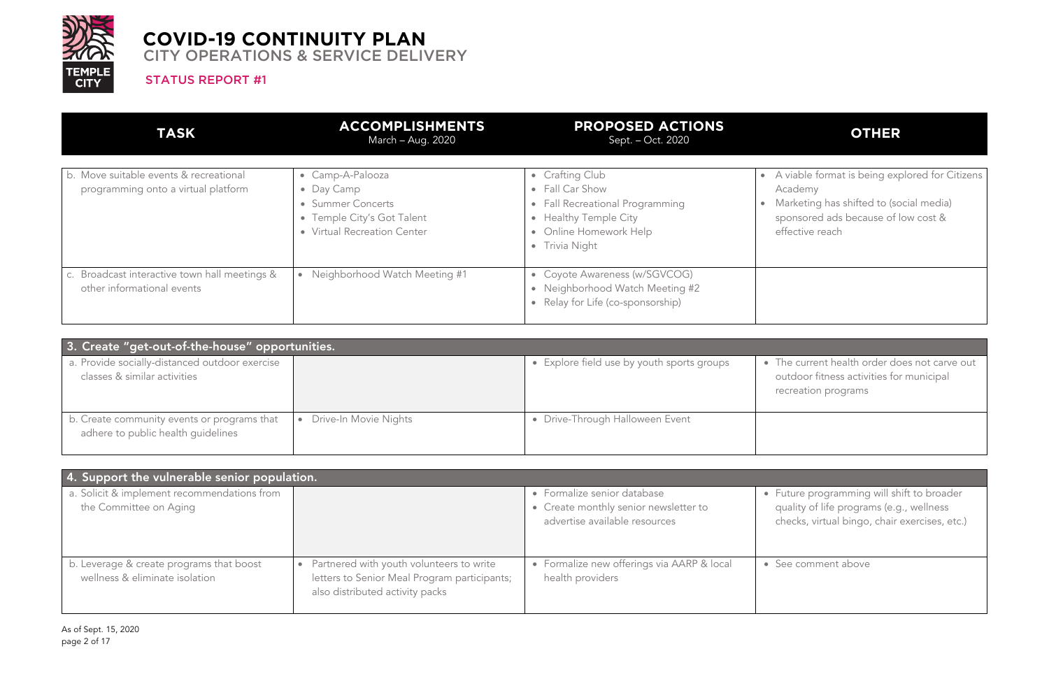

#### STATUS REPORT #1

# **OTHER**

The current health order does not carve out outdoor fitness activities for municipal recreation programs

| 3. Create "get-out-of-the-house" opportunities.                                   |                       |                                            |  |
|-----------------------------------------------------------------------------------|-----------------------|--------------------------------------------|--|
| a. Provide socially-distanced outdoor exercise<br>classes & similar activities    |                       | • Explore field use by youth sports groups |  |
| b. Create community events or programs that<br>adhere to public health guidelines | Drive-In Movie Nights | • Drive-Through Halloween Event            |  |

• Future programming will shift to broader quality of life programs (e.g., wellness checks, virtual bingo, chair exercises, etc.)

See comment above

| 4. Support the vulnerable senior population.                               |                                                                                                                             |                                                                                                       |  |
|----------------------------------------------------------------------------|-----------------------------------------------------------------------------------------------------------------------------|-------------------------------------------------------------------------------------------------------|--|
| a. Solicit & implement recommendations from<br>the Committee on Aging      |                                                                                                                             | • Formalize senior database<br>• Create monthly senior newsletter to<br>advertise available resources |  |
| b. Leverage & create programs that boost<br>wellness & eliminate isolation | Partnered with youth volunteers to write<br>letters to Senior Meal Program participants;<br>also distributed activity packs | • Formalize new offerings via AARP & local<br>health providers                                        |  |

| <b>TASK</b>                                                                   | <b>ACCOMPLISHMENTS</b><br>March - Aug. 2020                                                                      | <b>PROPOSED ACTIONS</b><br>Sept. – Oct. 2020                                                                                               |  |
|-------------------------------------------------------------------------------|------------------------------------------------------------------------------------------------------------------|--------------------------------------------------------------------------------------------------------------------------------------------|--|
| b. Move suitable events & recreational<br>programming onto a virtual platform | • Camp-A-Palooza<br>• Day Camp<br>• Summer Concerts<br>• Temple City's Got Talent<br>• Virtual Recreation Center | • Crafting Club<br>• Fall Car Show<br>• Fall Recreational Programming<br>• Healthy Temple City<br>• Online Homework Help<br>• Trivia Night |  |
| c. Broadcast interactive town hall meetings &<br>other informational events   | Neighborhood Watch Meeting #1<br>$\bullet$                                                                       | • Coyote Awareness (w/SGVCOG)<br>• Neighborhood Watch Meeting #2<br>• Relay for Life (co-sponsorship)                                      |  |

- A viable format is being explored for Citizens Academy
- Marketing has shifted to (social media)
- sponsored ads because of low cost &
- effective reach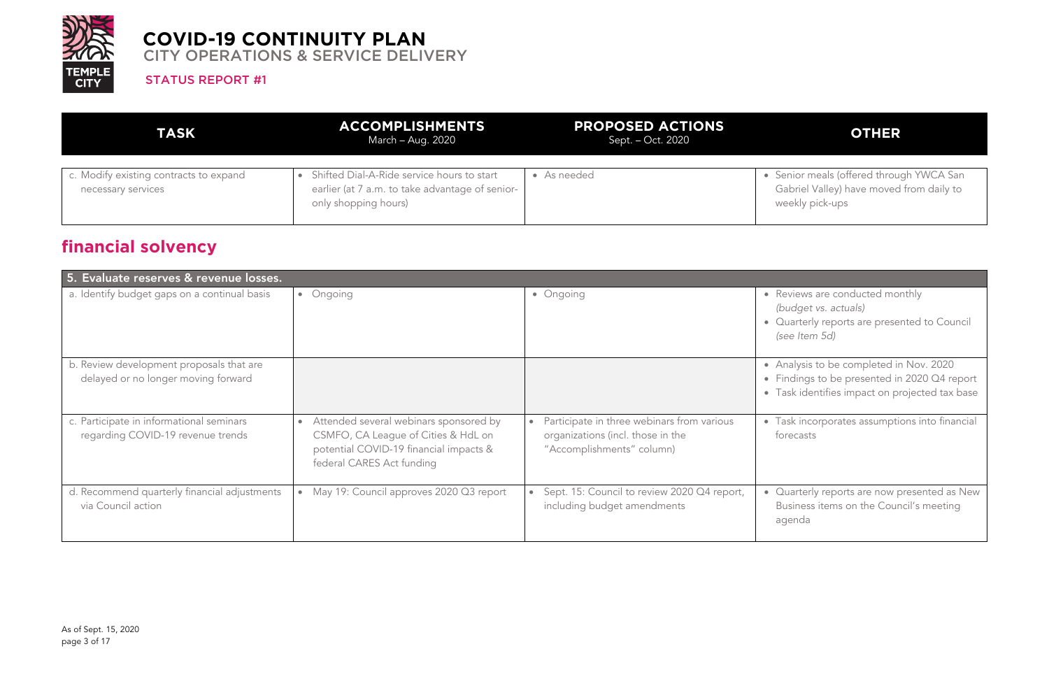

#### STATUS REPORT #1

# **OTHER**

| <b>TASK</b>                                                  | <b>ACCOMPLISHMENTS</b><br>March – Aug. 2020                                                                           | <b>PROPOSED ACTIONS</b><br>Sept. – Oct. 2020 |  |
|--------------------------------------------------------------|-----------------------------------------------------------------------------------------------------------------------|----------------------------------------------|--|
| c. Modify existing contracts to expand<br>necessary services | Shifted Dial-A-Ride service hours to start<br>earlier (at 7 a.m. to take advantage of senior-<br>only shopping hours) | • As needed                                  |  |

Senior meals (offered through YWCA San Gabriel Valley) have moved from daily to weekly pick-ups

Reviews are conducted monthly *(budget vs. actuals)* • Quarterly reports are presented to Council *(see Item 5d)*

# **financial solvency**

• Analysis to be completed in Nov. 2020 • Findings to be presented in 2020 Q4 report • Task identifies impact on projected tax base

| 5. Evaluate reserves & revenue losses.                                          |                                                                                                                                                      |                                                                                                              |  |  |
|---------------------------------------------------------------------------------|------------------------------------------------------------------------------------------------------------------------------------------------------|--------------------------------------------------------------------------------------------------------------|--|--|
| a. Identify budget gaps on a continual basis                                    | Ongoing<br>$\bullet$                                                                                                                                 | • Ongoing                                                                                                    |  |  |
| b. Review development proposals that are<br>delayed or no longer moving forward |                                                                                                                                                      |                                                                                                              |  |  |
| c. Participate in informational seminars<br>regarding COVID-19 revenue trends   | Attended several webinars sponsored by<br>CSMFO, CA League of Cities & HdL on<br>potential COVID-19 financial impacts &<br>federal CARES Act funding | Participate in three webinars from various<br>organizations (incl. those in the<br>"Accomplishments" column) |  |  |
| d. Recommend quarterly financial adjustments<br>via Council action              | May 19: Council approves 2020 Q3 report                                                                                                              | Sept. 15: Council to review 2020 Q4 report,<br>including budget amendments                                   |  |  |

• Task incorporates assumptions into financial forecasts

• Quarterly reports are now presented as New Business items on the Council's meeting agenda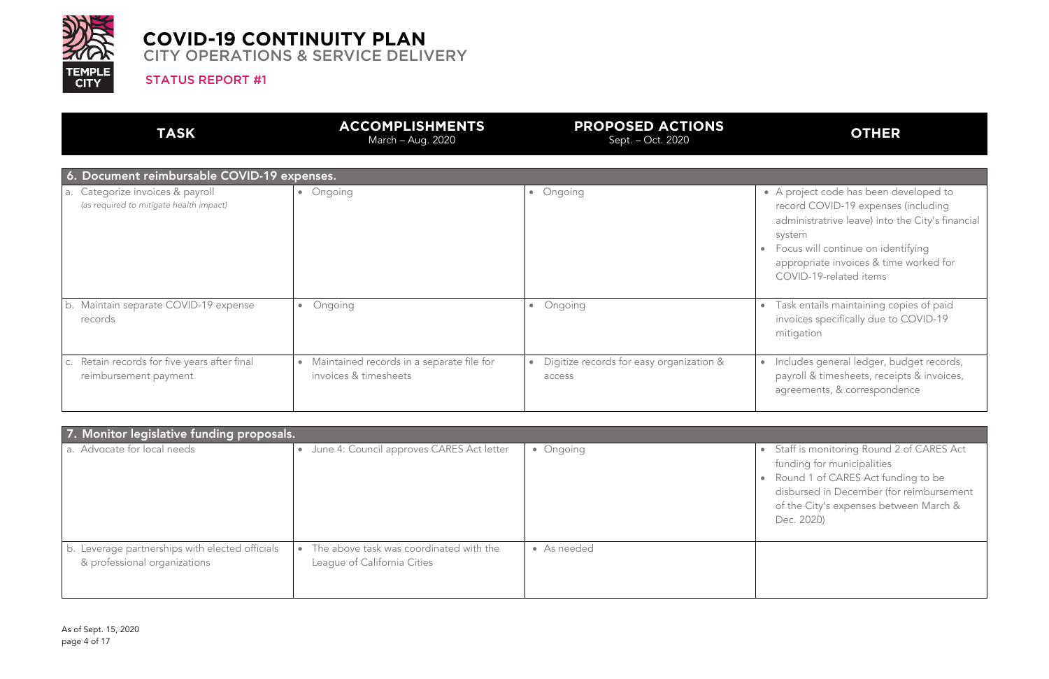

#### STATUS REPORT #1

## **OTHER**

| <b>TASK</b>                                                                 | <b>ACCOMPLISHMENTS</b><br>March - Aug. 2020                                     | <b>PROPOSED ACTIONS</b><br>Sept. - Oct. 2020                    |            |
|-----------------------------------------------------------------------------|---------------------------------------------------------------------------------|-----------------------------------------------------------------|------------|
| 6. Document reimbursable COVID-19 expenses.                                 |                                                                                 |                                                                 |            |
| a. Categorize invoices & payroll<br>(as required to mitigate health impact) | Ongoing<br>$\bullet$                                                            | • Ongoing                                                       |            |
| b. Maintain separate COVID-19 expense<br>records                            | Ongoing<br>$\bullet$                                                            | Ongoing<br>$\bullet$                                            | $\epsilon$ |
| c. Retain records for five years after final<br>reimbursement payment       | Maintained records in a separate file for<br>$\bullet$<br>invoices & timesheets | Digitize records for easy organization &<br>$\bullet$<br>access | $\bullet$  |

- A project code has been developed to record COVID-19 expenses (including administratrive leave) into the City's financial system
- Focus will continue on identifying appropriate invoices & time worked for COVID-19-related items
- Task entails maintaining copies of paid invoices specifically due to COVID-19 mitigation
- Includes general ledger, budget records, payroll & timesheets, receipts & invoices, agreements, & correspondence
- Staff is monitoring Round 2 of CARES Act funding for municipalities Round 1 of CARES Act funding to be disbursed in December (for reimbursement of the City's expenses between March & Dec. 2020)

| 7. Monitor legislative funding proposals.                                       |                                                                                     |             |  |
|---------------------------------------------------------------------------------|-------------------------------------------------------------------------------------|-------------|--|
| a. Advocate for local needs                                                     | June 4: Council approves CARES Act letter<br>$\bullet$                              | • Ongoing   |  |
|                                                                                 |                                                                                     |             |  |
|                                                                                 |                                                                                     |             |  |
| b. Leverage partnerships with elected officials<br>& professional organizations | The above task was coordinated with the<br>$\bullet$<br>League of California Cities | • As needed |  |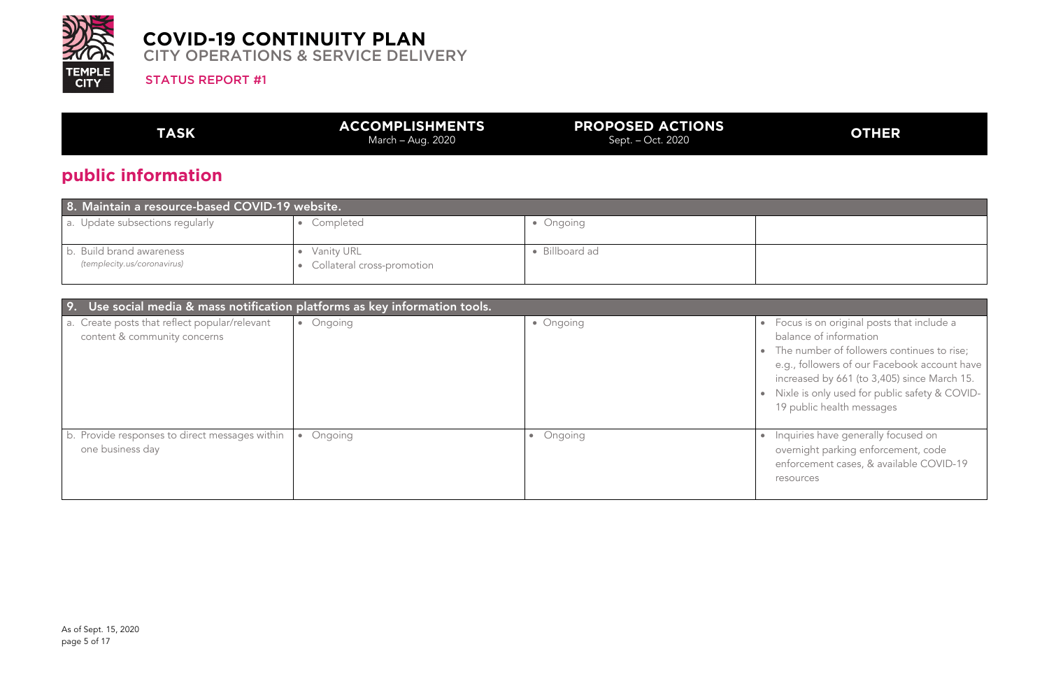

#### **PROPOSED ACTIONS POSED ACTIONS**<br>Sept. – Oct. 2020

#### STATUS REPORT #1

**TASK ACCOMPLISHMENTS** March – Aug. 2020

# **public information**

| 8. Maintain a resource-based COVID-19 website.          |                                          |                |  |
|---------------------------------------------------------|------------------------------------------|----------------|--|
| a. Update subsections regularly                         | Completed                                | • Ongoing      |  |
| b. Build brand awareness<br>(templecity.us/coronavirus) | Vanity URL<br>Collateral cross-promotion | • Billboard ad |  |

Focus is on original posts that include a balance of information The number of followers continues to rise; e.g., followers of our Facebook account have increased by 661 (to 3,405) since March 15. • Nixle is only used for public safety & COVID-19 public health messages

Inquiries have generally focused on overnight parking enforcement, code enforcement cases, & available COVID-19 resources

| Use social media & mass notification platforms as key information tools.<br>9. |                      |           |           |
|--------------------------------------------------------------------------------|----------------------|-----------|-----------|
| a. Create posts that reflect popular/relevant<br>content & community concerns  | Ongoing<br>$\bullet$ | • Ongoing | $\bullet$ |
|                                                                                |                      |           |           |
| b. Provide responses to direct messages within                                 | Ongoing<br>$\bullet$ | Ongoing   |           |
| one business day                                                               |                      |           |           |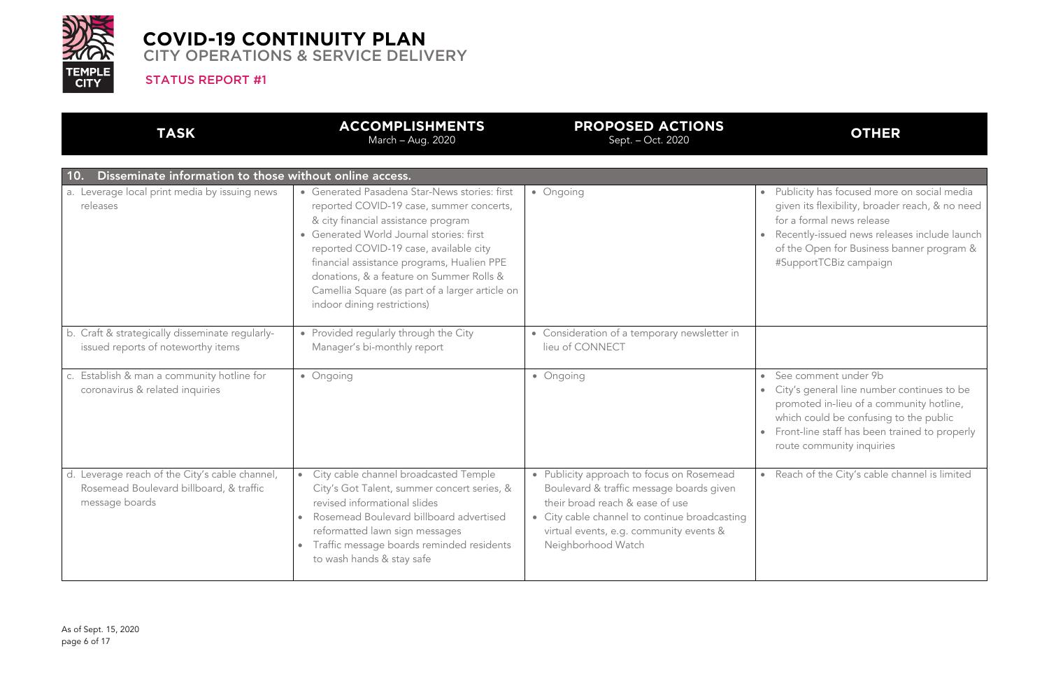

STATUS REPORT #1

## **OTHER**

- Publicity has focused more on social media given its flexibility, broader reach, & no need for a formal news release
- Recently-issued news releases include launch of the Open for Business banner program & #SupportTCBiz campaign

See comment under 9b • City's general line number continues to be promoted in-lieu of a community hotline, which could be confusing to the public • Front-line staff has been trained to properly route community inquiries

Reach of the City's cable channel is limited

| <b>TASK</b>                                                                                                 | <b>ACCOMPLISHMENTS</b><br>March - Aug. 2020                                                                                                                                                                                                                                                                                                                                                        | <b>PROPOSED ACTIONS</b><br>Sept. - Oct. 2020                                                                                                                                                                                               |  |
|-------------------------------------------------------------------------------------------------------------|----------------------------------------------------------------------------------------------------------------------------------------------------------------------------------------------------------------------------------------------------------------------------------------------------------------------------------------------------------------------------------------------------|--------------------------------------------------------------------------------------------------------------------------------------------------------------------------------------------------------------------------------------------|--|
| Disseminate information to those without online access.<br>10.                                              |                                                                                                                                                                                                                                                                                                                                                                                                    |                                                                                                                                                                                                                                            |  |
| a. Leverage local print media by issuing news<br>releases                                                   | • Generated Pasadena Star-News stories: first<br>reported COVID-19 case, summer concerts,<br>& city financial assistance program<br>• Generated World Journal stories: first<br>reported COVID-19 case, available city<br>financial assistance programs, Hualien PPE<br>donations, & a feature on Summer Rolls &<br>Camellia Square (as part of a larger article on<br>indoor dining restrictions) | • Ongoing                                                                                                                                                                                                                                  |  |
| b. Craft & strategically disseminate regularly-<br>issued reports of noteworthy items                       | Provided regularly through the City<br>$\bullet$<br>Manager's bi-monthly report                                                                                                                                                                                                                                                                                                                    | • Consideration of a temporary newsletter in<br>lieu of CONNECT                                                                                                                                                                            |  |
| c. Establish & man a community hotline for<br>coronavirus & related inquiries                               | • Ongoing                                                                                                                                                                                                                                                                                                                                                                                          | • Ongoing                                                                                                                                                                                                                                  |  |
| d. Leverage reach of the City's cable channel,<br>Rosemead Boulevard billboard, & traffic<br>message boards | City cable channel broadcasted Temple<br>$\bullet$<br>City's Got Talent, summer concert series, &<br>revised informational slides<br>Rosemead Boulevard billboard advertised<br>$\bullet$<br>reformatted lawn sign messages<br>Traffic message boards reminded residents<br>$\bullet$<br>to wash hands & stay safe                                                                                 | • Publicity approach to focus on Rosemead<br>Boulevard & traffic message boards given<br>their broad reach & ease of use<br>• City cable channel to continue broadcasting<br>virtual events, e.g. community events &<br>Neighborhood Watch |  |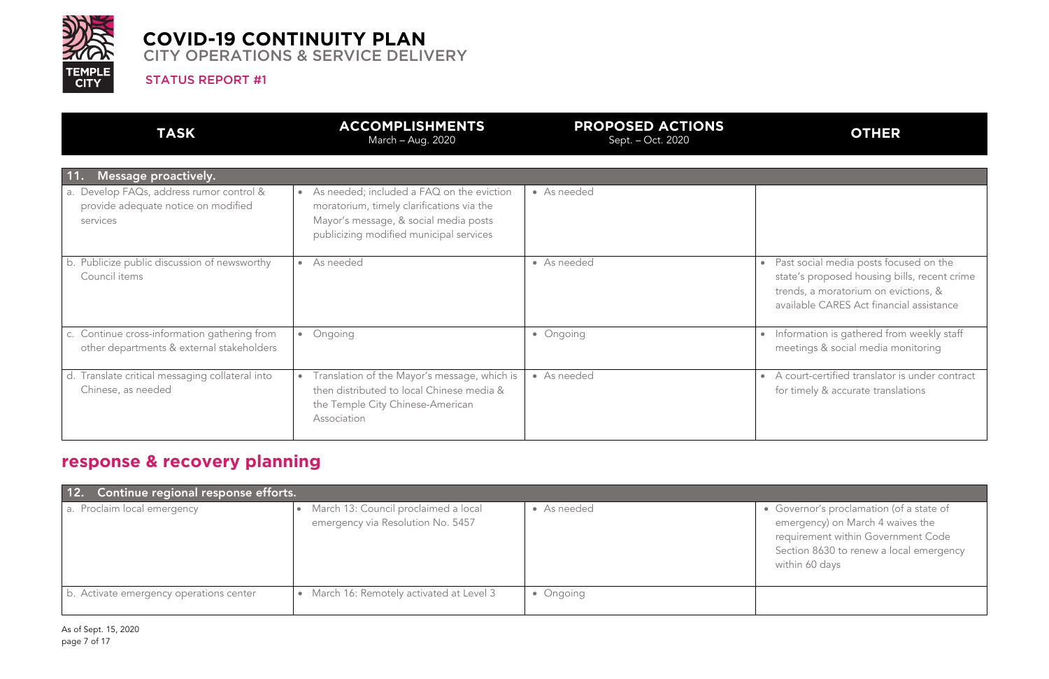

#### STATUS REPORT #1

# **OTHER**

Past social media posts focused on the state's proposed housing bills, recent crime trends, a moratorium on evictions, & available CARES Act financial assistance

Information is gathered from weekly staff meetings & social media monitoring

| <b>TASK</b>                                                                                 | <b>ACCOMPLISHMENTS</b><br>March - Aug. 2020                                                                                                                                             | <b>PROPOSED ACTIONS</b><br>Sept. - Oct. 2020 |
|---------------------------------------------------------------------------------------------|-----------------------------------------------------------------------------------------------------------------------------------------------------------------------------------------|----------------------------------------------|
| Message proactively.<br><b>11.</b>                                                          |                                                                                                                                                                                         |                                              |
| a. Develop FAQs, address rumor control &<br>provide adequate notice on modified<br>services | As needed; included a FAQ on the eviction<br>$\bullet$<br>moratorium, timely clarifications via the<br>Mayor's message, & social media posts<br>publicizing modified municipal services | • As needed                                  |
| b. Publicize public discussion of newsworthy<br>Council items                               | As needed<br>$\bullet$                                                                                                                                                                  | • As needed                                  |
| c. Continue cross-information gathering from<br>other departments & external stakeholders   | Ongoing<br>$\bullet$                                                                                                                                                                    | • Ongoing                                    |
| d. Translate critical messaging collateral into<br>Chinese, as needed                       | Translation of the Mayor's message, which is<br>$\bullet$<br>then distributed to local Chinese media &<br>the Temple City Chinese-American<br>Association                               | • As needed                                  |

A court-certified translator is under contract for timely & accurate translations

Governor's proclamation (of a state of emergency) on March 4 waives the requirement within Government Code Section 8630 to renew a local emergency within 60 days

# **response & recovery planning**

| Continue regional response efforts.<br>12. |                                                                           |             |  |
|--------------------------------------------|---------------------------------------------------------------------------|-------------|--|
| a. Proclaim local emergency                | March 13: Council proclaimed a local<br>emergency via Resolution No. 5457 | • As needed |  |
| b. Activate emergency operations center    | March 16: Remotely activated at Level 3<br>$\bullet$                      | • Ongoing   |  |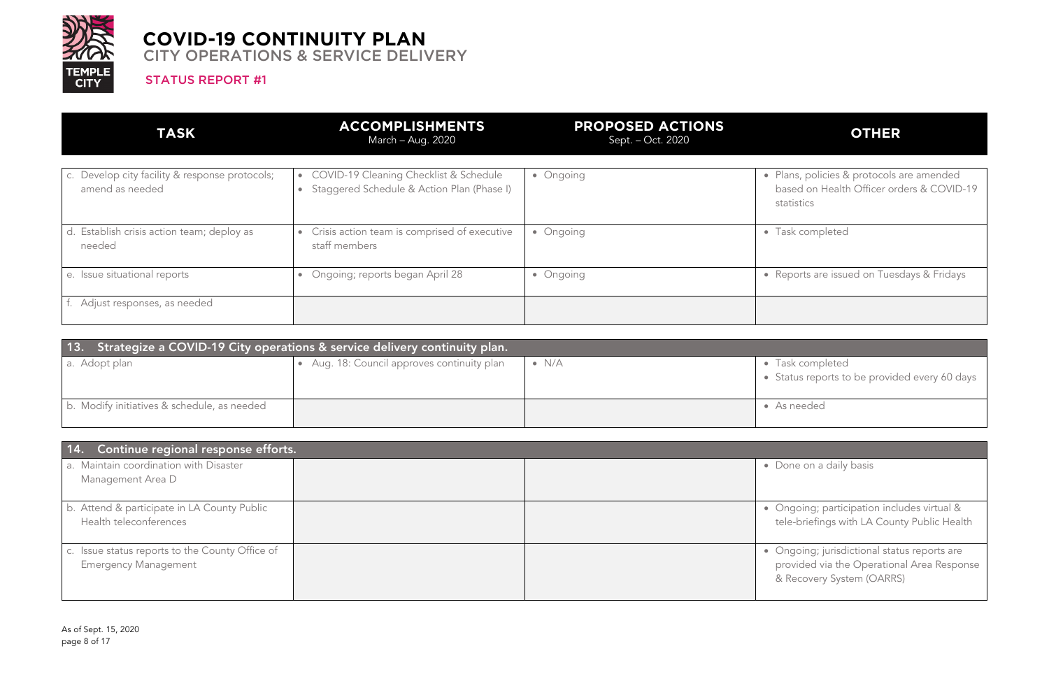

STATUS REPORT #1

# **OTHER**

Plans, policies & protocols are amended based on Health Officer orders & COVID-19 statistics

Task completed

Reports are issued on Tuesdays & Fridays

| <b>TASK</b>                                                       | <b>ACCOMPLISHMENTS</b><br>March - Aug. 2020                                                       | <b>PROPOSED ACTIONS</b><br>Sept. – Oct. 2020 |           |
|-------------------------------------------------------------------|---------------------------------------------------------------------------------------------------|----------------------------------------------|-----------|
| c. Develop city facility & response protocols;<br>amend as needed | COVID-19 Cleaning Checklist & Schedule<br>$\bullet$<br>Staggered Schedule & Action Plan (Phase I) | • Ongoing                                    | $\bullet$ |
| d. Establish crisis action team; deploy as<br>needed              | Crisis action team is comprised of executive<br>$\bullet$<br>staff members                        | • Ongoing                                    | $\bullet$ |
| e. Issue situational reports                                      | Ongoing; reports began April 28<br>$\bullet$                                                      | • Ongoing                                    | $\bullet$ |
| f. Adjust responses, as needed                                    |                                                                                                   |                                              |           |

| 13. Strategize a COVID-19 City operations & service delivery continuity plan. |                                           |               |                                         |
|-------------------------------------------------------------------------------|-------------------------------------------|---------------|-----------------------------------------|
| a. Adopt plan                                                                 | Aug. 18: Council approves continuity plan | $\bullet$ N/A | • Task completed<br>• Status reports to |
| b. Modify initiatives & schedule, as needed                                   |                                           |               | • As needed                             |

• Status reports to be provided every 60 days

Done on a daily basis

| 14. Continue regional response efforts.                                        |  |  |
|--------------------------------------------------------------------------------|--|--|
| a. Maintain coordination with Disaster<br>Management Area D                    |  |  |
| b. Attend & participate in LA County Public<br>Health teleconferences          |  |  |
| c. Issue status reports to the County Office of<br><b>Emergency Management</b> |  |  |

• Ongoing; participation includes virtual & tele-briefings with LA County Public Health

• Ongoing; jurisdictional status reports are provided via the Operational Area Response & Recovery System (OARRS)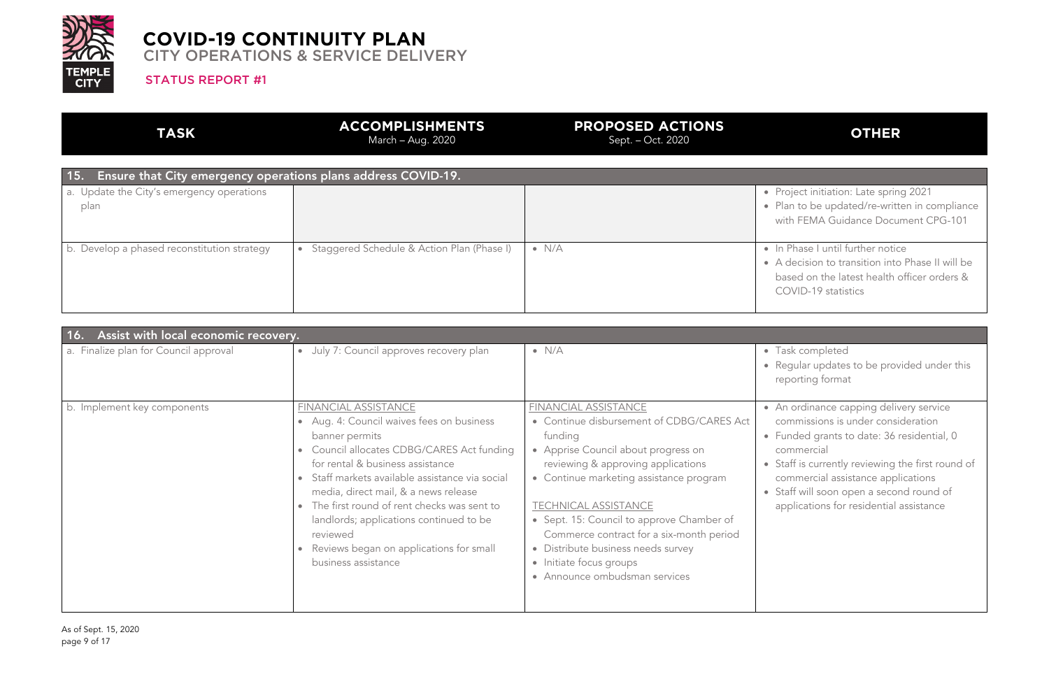

#### STATUS REPORT #1

# **OTHER**

| <b>TASK</b>                                                          | <b>ACCOMPLISHMENTS</b><br>March – Aug. 2020             | <b>PROPOSED ACTIONS</b><br>Sept. – Oct. 2020 |
|----------------------------------------------------------------------|---------------------------------------------------------|----------------------------------------------|
| 15.<br>Ensure that City emergency operations plans address COVID-19. |                                                         |                                              |
| a. Update the City's emergency operations<br>plan                    |                                                         |                                              |
| b. Develop a phased reconstitution strategy                          | Staggered Schedule & Action Plan (Phase I)<br>$\bullet$ | $\bullet$ N/A                                |

• In Phase I until further notice • A decision to transition into Phase II will be based on the latest health officer orders & COVID-19 statistics

• Project initiation: Late spring 2021 • Plan to be updated/re-written in compliance with FEMA Guidance Document CPG-101

• Regular updates to be provided under this reporting format

An ordinance capping delivery service commissions is under consideration • Funded grants to date: 36 residential, 0 commercial

Staff is currently reviewing the first round of commercial assistance applications

Staff will soon open a second round of

| Assist with local economic recovery.<br><u> 16. </u> |                                                                                                                                                                                                                                                                                                                                                                                                                                         |                                                                                                                                                                                                                                                                                                                                                                                                                                |                                                                                                                                                              |
|------------------------------------------------------|-----------------------------------------------------------------------------------------------------------------------------------------------------------------------------------------------------------------------------------------------------------------------------------------------------------------------------------------------------------------------------------------------------------------------------------------|--------------------------------------------------------------------------------------------------------------------------------------------------------------------------------------------------------------------------------------------------------------------------------------------------------------------------------------------------------------------------------------------------------------------------------|--------------------------------------------------------------------------------------------------------------------------------------------------------------|
| a. Finalize plan for Council approval                | • July 7: Council approves recovery plan                                                                                                                                                                                                                                                                                                                                                                                                | $\bullet$ N/A                                                                                                                                                                                                                                                                                                                                                                                                                  | • Task completed<br>· Regular updates<br>reporting forma                                                                                                     |
| b. Implement key components                          | FINANCIAL ASSISTANCE<br>• Aug. 4: Council waives fees on business<br>banner permits<br>• Council allocates CDBG/CARES Act funding<br>for rental & business assistance<br>Staff markets available assistance via social<br>media, direct mail, & a news release<br>• The first round of rent checks was sent to<br>landlords; applications continued to be<br>reviewed<br>Reviews began on applications for small<br>business assistance | FINANCIAL ASSISTANCE<br>• Continue disbursement of CDBG/CARES Act<br>funding<br>• Apprise Council about progress on<br>reviewing & approving applications<br>• Continue marketing assistance program<br><b>TECHNICAL ASSISTANCE</b><br>• Sept. 15: Council to approve Chamber of<br>Commerce contract for a six-month period<br>• Distribute business needs survey<br>• Initiate focus groups<br>• Announce ombudsman services | • An ordinance ca<br>commissions is<br>• Funded grants t<br>commercial<br>• Staff is currently<br>commercial assi<br>• Staff will soon o<br>applications for |

applications for residential assistance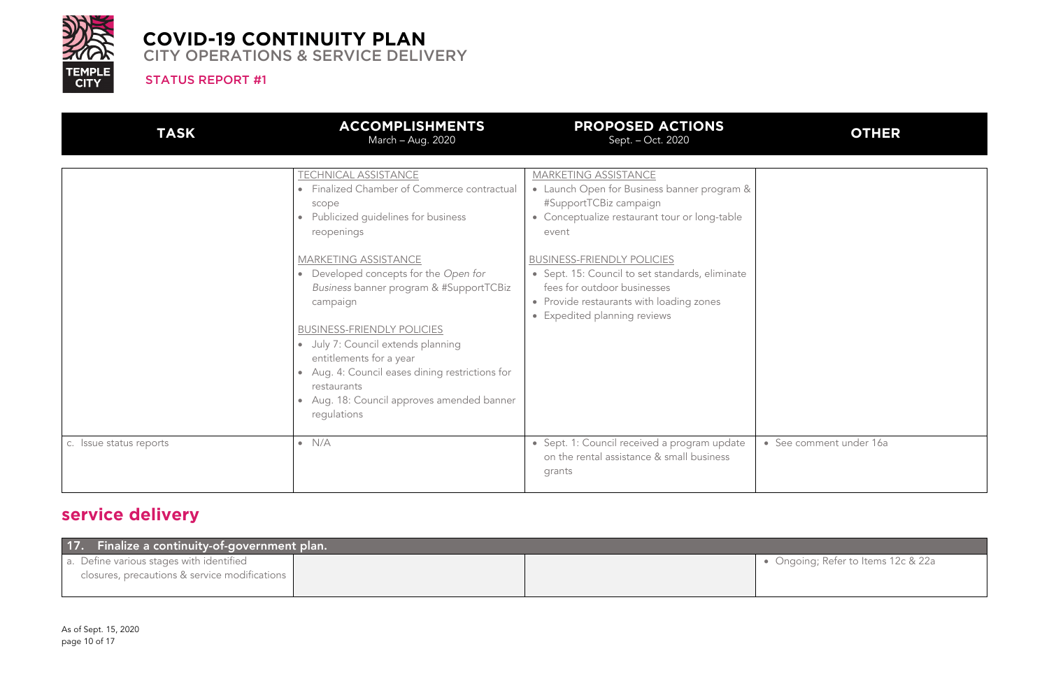

STATUS REPORT #1

# **OTHER**

See comment under 16a

| <b>TASK</b>             | <b>ACCOMPLISHMENTS</b><br>March - Aug. 2020                                                                                                                                                                                                                                                                                                                                 | <b>PROPOSED ACTIONS</b><br>Sept. - Oct. 2020                                                                                                                                                    |  |
|-------------------------|-----------------------------------------------------------------------------------------------------------------------------------------------------------------------------------------------------------------------------------------------------------------------------------------------------------------------------------------------------------------------------|-------------------------------------------------------------------------------------------------------------------------------------------------------------------------------------------------|--|
|                         | <b>TECHNICAL ASSISTANCE</b><br>Finalized Chamber of Commerce contractual<br>$\bullet$<br>scope<br>Publicized guidelines for business<br>reopenings                                                                                                                                                                                                                          | <b>MARKETING ASSISTANCE</b><br>• Launch Open for Business banner program &<br>#SupportTCBiz campaign<br>• Conceptualize restaurant tour or long-table<br>event                                  |  |
|                         | MARKETING ASSISTANCE<br>Developed concepts for the Open for<br>$\bullet$<br>Business banner program & #SupportTCBiz<br>campaign<br><b>BUSINESS-FRIENDLY POLICIES</b><br>July 7: Council extends planning<br>$\bullet$<br>entitlements for a year<br>Aug. 4: Council eases dining restrictions for<br>restaurants<br>Aug. 18: Council approves amended banner<br>requlations | <b>BUSINESS-FRIENDLY POLICIES</b><br>• Sept. 15: Council to set standards, eliminate<br>fees for outdoor businesses<br>• Provide restaurants with loading zones<br>• Expedited planning reviews |  |
| c. Issue status reports | $\bullet$ N/A                                                                                                                                                                                                                                                                                                                                                               | • Sept. 1: Council received a program update<br>on the rental assistance & small business<br>grants                                                                                             |  |

# **service delivery**

| 17. Finalize a continuity-of-government plan. |  |
|-----------------------------------------------|--|
| a. Define various stages with identified      |  |
| closures, precautions & service modifications |  |
|                                               |  |

• Ongoing; Refer to Items 12c & 22a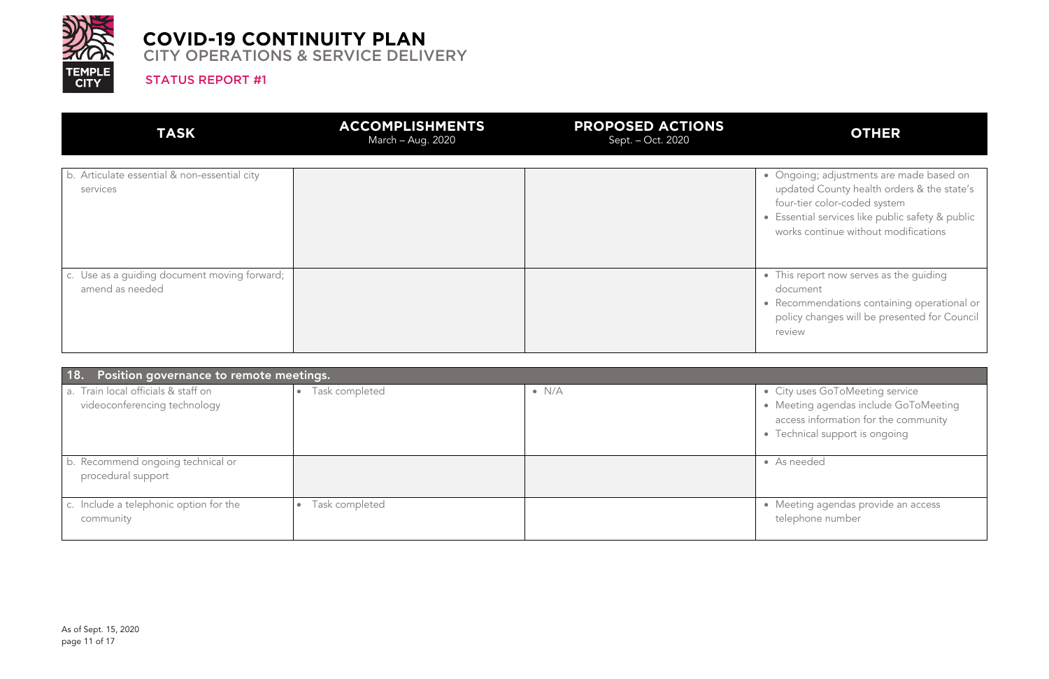

#### STATUS REPORT #1

# **OTHER**

This report now serves as the guiding document

| <b>TASK</b>                                                     | <b>ACCOMPLISHMENTS</b><br>March - Aug. 2020 | <b>PROPOSED ACTIONS</b><br>Sept. - Oct. 2020 |
|-----------------------------------------------------------------|---------------------------------------------|----------------------------------------------|
| b. Articulate essential & non-essential city<br>services        |                                             | о<br>c                                       |
| c. Use as a guiding document moving forward;<br>amend as needed |                                             | ۰<br>$\epsilon$                              |

• Ongoing; adjustments are made based on updated County health orders & the state's four-tier color-coded system Essential services like public safety & public works continue without modifications

Meeting agendas provide an access telephone number

• Recommendations containing operational or policy changes will be presented for Council review

City uses GoToMeeting service • Meeting agendas include GoToMeeting access information for the community Technical support is ongoing

As needed

| 18. Position governance to remote meetings.                         |                             |               |  |
|---------------------------------------------------------------------|-----------------------------|---------------|--|
| a. Train local officials & staff on<br>videoconferencing technology | Task completed<br>$\bullet$ | $\bullet$ N/A |  |
|                                                                     |                             |               |  |
| b. Recommend ongoing technical or<br>procedural support             |                             |               |  |
| c. Include a telephonic option for the<br>community                 | Task completed<br>$\bullet$ |               |  |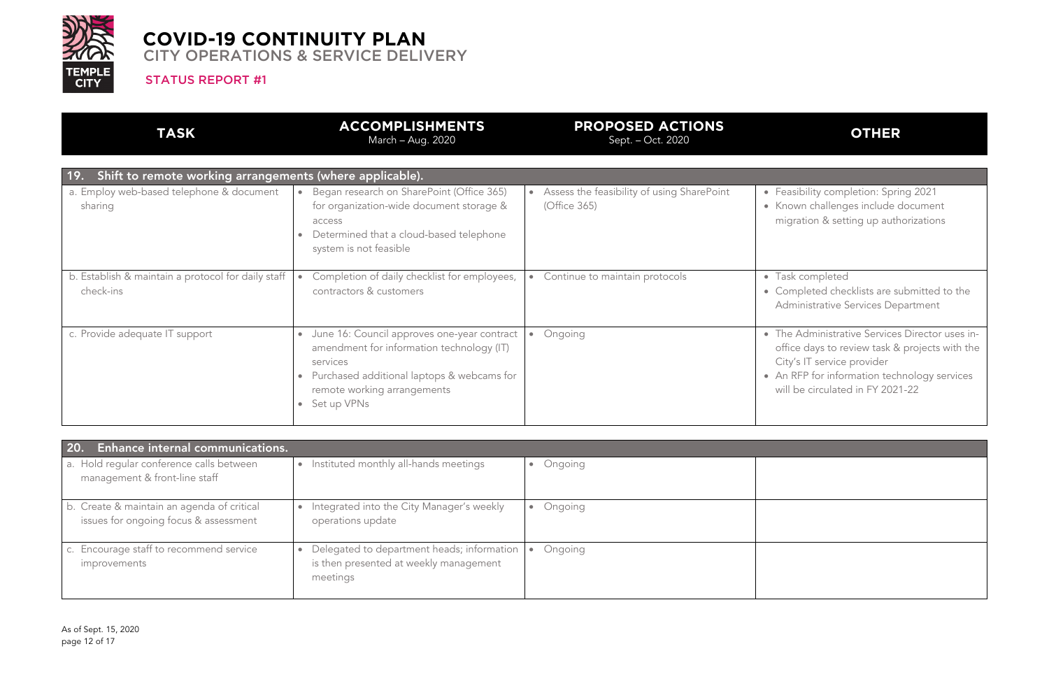

#### STATUS REPORT #1

## **OTHER**

 $\bullet$  Task completed • Completed checklists are submitted to the Administrative Services Department

• Feasibility completion: Spring 2021 • Known challenges include document migration & setting up authorizations

| <b>TASK</b>                                                     | <b>ACCOMPLISHMENTS</b><br>March - Aug. 2020                                                                                                                                                                                | <b>PROPOSED ACTIONS</b><br>Sept. - Oct. 2020               |
|-----------------------------------------------------------------|----------------------------------------------------------------------------------------------------------------------------------------------------------------------------------------------------------------------------|------------------------------------------------------------|
| Shift to remote working arrangements (where applicable).<br>19. |                                                                                                                                                                                                                            |                                                            |
| a. Employ web-based telephone & document<br>sharing             | Began research on SharePoint (Office 365)<br>for organization-wide document storage &<br>access<br>Determined that a cloud-based telephone<br>system is not feasible                                                       | Assess the feasibility of using SharePoint<br>(Office 365) |
| b. Establish & maintain a protocol for daily staff<br>check-ins | Completion of daily checklist for employees,<br>contractors & customers                                                                                                                                                    | Continue to maintain protocols<br>$\bullet$                |
| c. Provide adequate IT support                                  | June 16: Council approves one-year contract<br>$\bullet$<br>amendment for information technology (IT)<br>services<br>Purchased additional laptops & webcams for<br>$\bullet$<br>remote working arrangements<br>Set up VPNs | Ongoing<br>$\bullet$                                       |

• The Administrative Services Director uses inoffice days to review task & projects with the City's IT service provider • An RFP for information technology services will be circulated in FY 2021-22

| <b>Enhance internal communications.</b><br>20                                       |                                                                                                  |         |
|-------------------------------------------------------------------------------------|--------------------------------------------------------------------------------------------------|---------|
| a. Hold regular conference calls between<br>management & front-line staff           | Instituted monthly all-hands meetings                                                            | Ongoing |
| b. Create & maintain an agenda of critical<br>issues for ongoing focus & assessment | Integrated into the City Manager's weekly<br>operations update                                   | Ongoing |
| c. Encourage staff to recommend service<br>improvements                             | Delegated to department heads; information<br>is then presented at weekly management<br>meetings | Ongoing |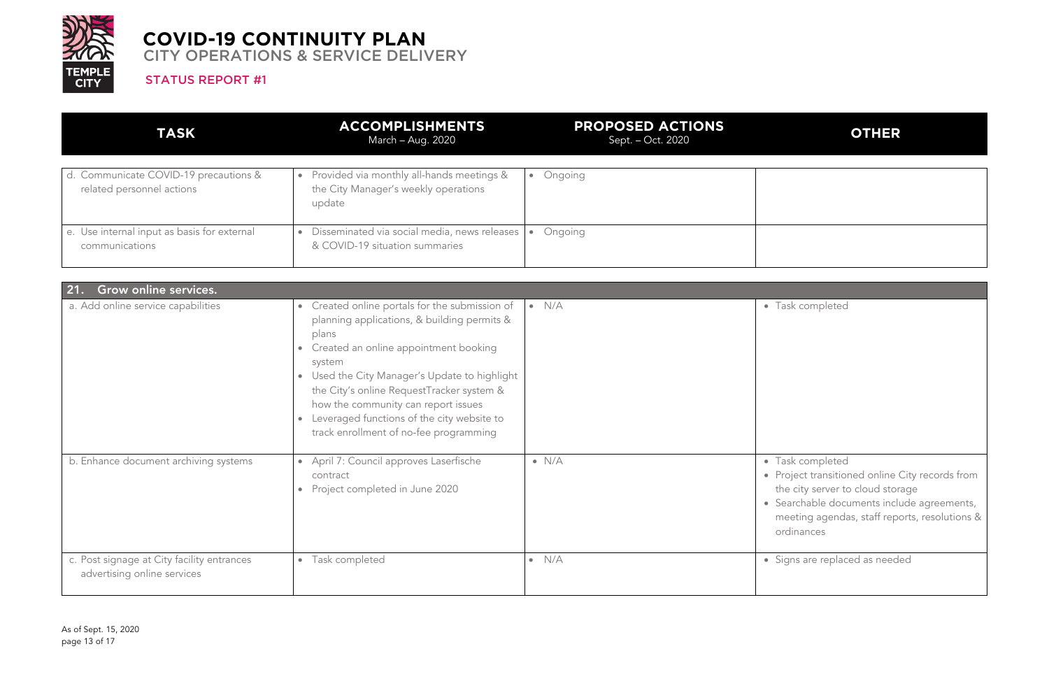

#### STATUS REPORT #1

# **OTHER**

Task completed

| <b>TASK</b>                                                        | <b>ACCOMPLISHMENTS</b><br>March - Aug. 2020                                                 | <b>PROPOSED ACTIONS</b><br>Sept. – Oct. 2020 |
|--------------------------------------------------------------------|---------------------------------------------------------------------------------------------|----------------------------------------------|
| d. Communicate COVID-19 precautions &<br>related personnel actions | Provided via monthly all-hands meetings &<br>the City Manager's weekly operations<br>update | Ongoing                                      |
| e. Use internal input as basis for external<br>communications      | Disseminated via social media, news releases<br>& COVID-19 situation summaries              | Ongoing                                      |

Task completed • Project transitioned online City records from the city server to cloud storage • Searchable documents include agreements, meeting agendas, staff reports, resolutions & ordinances

Signs are replaced as needed

| Grow online services.<br>21.                                              |                                                                                                                                                                                                                                                                                                                                                                                                                           |                  |  |
|---------------------------------------------------------------------------|---------------------------------------------------------------------------------------------------------------------------------------------------------------------------------------------------------------------------------------------------------------------------------------------------------------------------------------------------------------------------------------------------------------------------|------------------|--|
| a. Add online service capabilities                                        | Created online portals for the submission of<br>$\bullet$<br>planning applications, & building permits &<br>plans<br>Created an online appointment booking<br>$\bullet$<br>system<br>Used the City Manager's Update to highlight<br>$\bullet$<br>the City's online RequestTracker system &<br>how the community can report issues<br>Leveraged functions of the city website to<br>track enrollment of no-fee programming | $\bullet$ N/A    |  |
| b. Enhance document archiving systems                                     | April 7: Council approves Laserfische<br>$\bullet$<br>contract<br>Project completed in June 2020<br>$\bullet$                                                                                                                                                                                                                                                                                                             | $\bullet$ N/A    |  |
| c. Post signage at City facility entrances<br>advertising online services | Task completed<br>$\bullet$                                                                                                                                                                                                                                                                                                                                                                                               | N/A<br>$\bullet$ |  |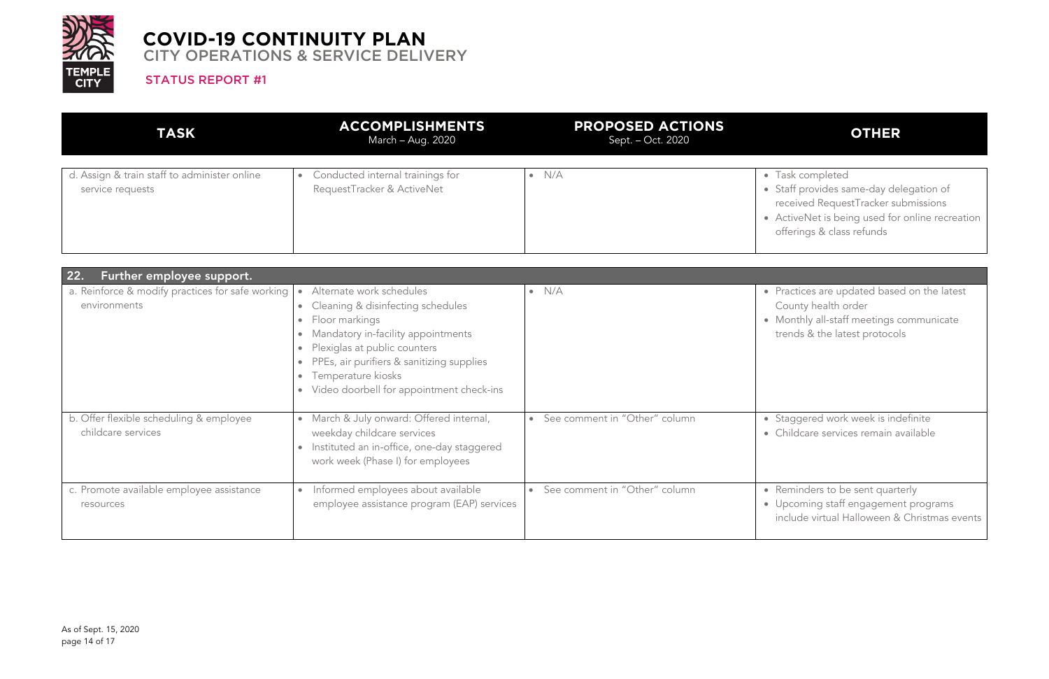

#### STATUS REPORT #1

# **OTHER**

| <b>TASK</b>                                                      | <b>ACCOMPLISHMENTS</b><br>March – Aug. 2020                    | <b>PROPOSED ACTIONS</b><br>Sept. - Oct. 2020 |                                     |
|------------------------------------------------------------------|----------------------------------------------------------------|----------------------------------------------|-------------------------------------|
| d. Assign & train staff to administer online<br>service requests | Conducted internal trainings for<br>RequestTracker & ActiveNet | N/A                                          | $\bullet$<br>$\bullet$<br>$\bullet$ |

Task completed Staff provides same-day delegation of received RequestTracker submissions ActiveNet is being used for online recreation offerings & class refunds

Practices are updated based on the latest County health order • Monthly all-staff meetings communicate trends & the latest protocols

Staggered work week is indefinite • Childcare services remain available

Reminders to be sent quarterly • Upcoming staff engagement programs include virtual Halloween & Christmas events

| 22.<br>Further employee support.                                 |                                                                                                                                                                                                                                                                                                                                                                              |                               |  |
|------------------------------------------------------------------|------------------------------------------------------------------------------------------------------------------------------------------------------------------------------------------------------------------------------------------------------------------------------------------------------------------------------------------------------------------------------|-------------------------------|--|
| a. Reinforce & modify practices for safe working<br>environments | Alternate work schedules<br>$\bullet$<br>Cleaning & disinfecting schedules<br>$\bullet$<br>Floor markings<br>$\bullet$<br>Mandatory in-facility appointments<br>$\bullet$<br>Plexiglas at public counters<br>$\bullet$<br>PPEs, air purifiers & sanitizing supplies<br>$\bullet$<br>Temperature kiosks<br>$\bullet$<br>Video doorbell for appointment check-ins<br>$\bullet$ | N/A<br>$\bullet$              |  |
| b. Offer flexible scheduling & employee<br>childcare services    | March & July onward: Offered internal,<br>$\bullet$<br>weekday childcare services<br>Instituted an in-office, one-day staggered<br>$\bullet$<br>work week (Phase I) for employees                                                                                                                                                                                            | See comment in "Other" column |  |
| c. Promote available employee assistance<br>resources            | Informed employees about available<br>$\bullet$<br>employee assistance program (EAP) services                                                                                                                                                                                                                                                                                | See comment in "Other" column |  |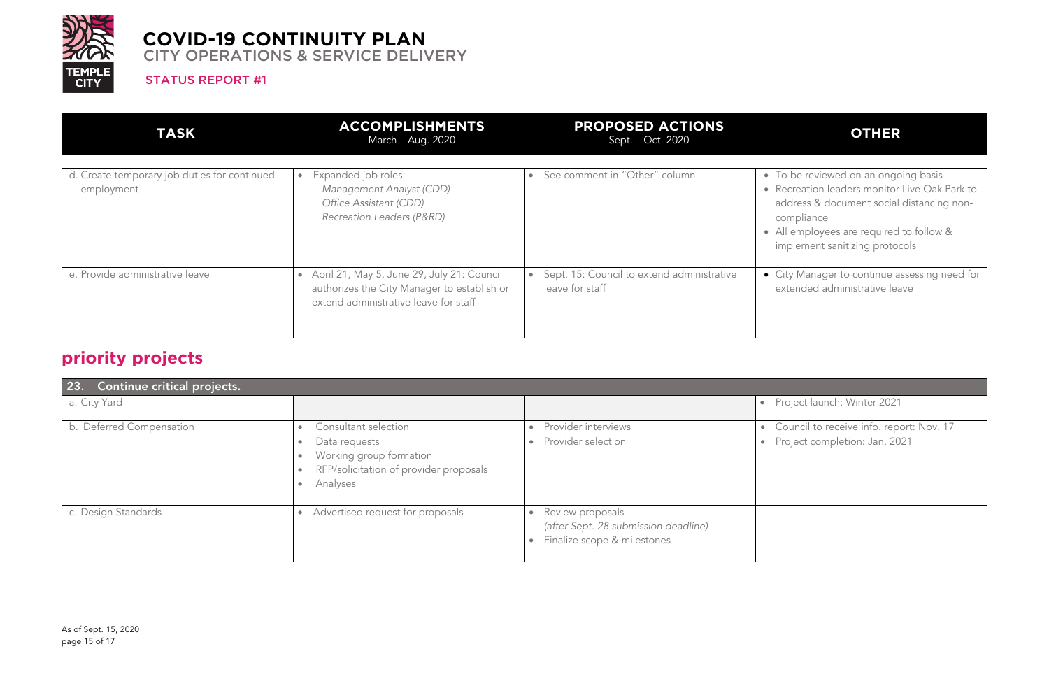

#### STATUS REPORT #1

# **OTHER**

- To be reviewed on an ongoing basis • Recreation leaders monitor Live Oak Park to address & document social distancing noncompliance
- All employees are required to follow & implement sanitizing protocols

| <b>TASK</b>                                                | <b>ACCOMPLISHMENTS</b><br>March - Aug. 2020                                                                                        | <b>PROPOSED ACTIONS</b><br>Sept. - Oct. 2020                  |           |
|------------------------------------------------------------|------------------------------------------------------------------------------------------------------------------------------------|---------------------------------------------------------------|-----------|
| d. Create temporary job duties for continued<br>employment | Expanded job roles:<br>$\bullet$<br>Management Analyst (CDD)<br>Office Assistant (CDD)<br>Recreation Leaders (P&RD)                | See comment in "Other" column<br>$\bullet$                    | $\bullet$ |
| e. Provide administrative leave                            | April 21, May 5, June 29, July 21: Council<br>authorizes the City Manager to establish or<br>extend administrative leave for staff | Sept. 15: Council to extend administrative<br>leave for staff |           |

Council to receive info. report: Nov. 17 • Project completion: Jan. 2021

• City Manager to continue assessing need for extended administrative leave

Project launch: Winter 2021

# **priority projects**

| 23.<br>Continue critical projects. |                                                                                                                                                                                         |                                                                                                                   |           |
|------------------------------------|-----------------------------------------------------------------------------------------------------------------------------------------------------------------------------------------|-------------------------------------------------------------------------------------------------------------------|-----------|
| a. City Yard                       |                                                                                                                                                                                         |                                                                                                                   |           |
| b. Deferred Compensation           | Consultant selection<br>$\bullet$<br>Data requests<br>$\bullet$<br>Working group formation<br>$\bullet$<br>RFP/solicitation of provider proposals<br>$\bullet$<br>Analyses<br>$\bullet$ | Provider interviews<br>$\bullet$<br>Provider selection<br>$\bullet$                                               | $\bullet$ |
| c. Design Standards                | Advertised request for proposals<br>$\bullet$                                                                                                                                           | Review proposals<br>$\bullet$<br>(after Sept. 28 submission deadline)<br>Finalize scope & milestones<br>$\bullet$ |           |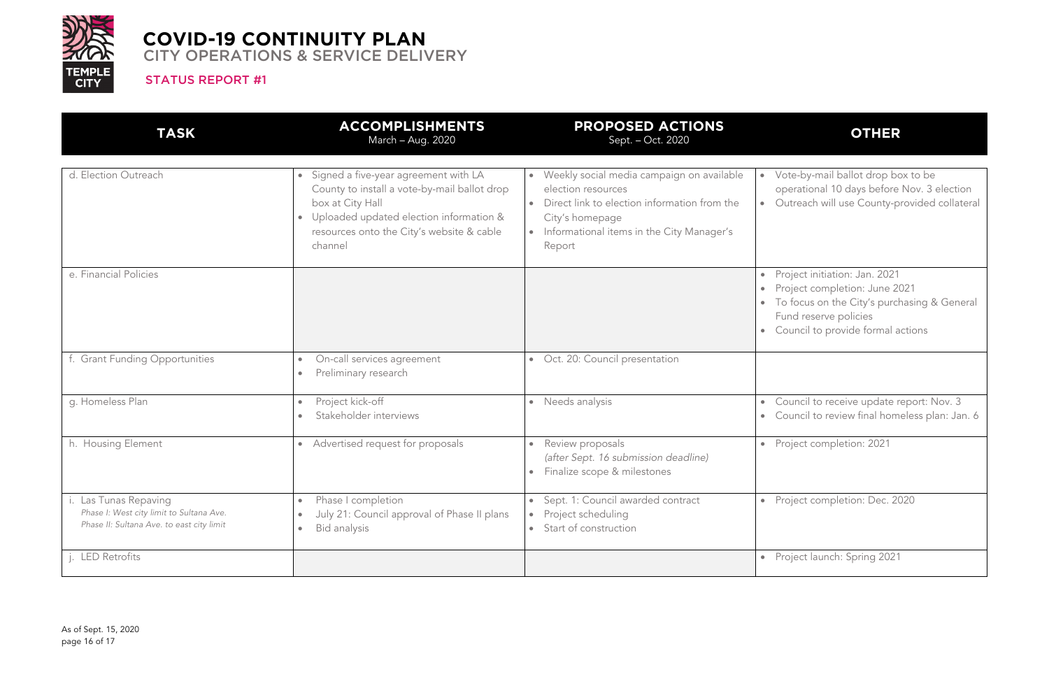

#### STATUS REPORT #1

# **OTHER**

Council to receive update report: Nov. 3 • Council to review final homeless plan: Jan. 6

• Vote-by-mail ballot drop box to be operational 10 days before Nov. 3 election • Outreach will use County-provided collateral

- Project initiation: Jan. 2021 • Project completion: June 2021
- To focus on the City's purchasing & General Fund reserve policies
- Council to provide formal actions

| <b>TASK</b>                                                                                                    | <b>ACCOMPLISHMENTS</b><br>March - Aug. 2020                                                                                                                                                                                           | <b>PROPOSED ACTIONS</b><br>Sept. - Oct. 2020                                                                                                                                                                        |
|----------------------------------------------------------------------------------------------------------------|---------------------------------------------------------------------------------------------------------------------------------------------------------------------------------------------------------------------------------------|---------------------------------------------------------------------------------------------------------------------------------------------------------------------------------------------------------------------|
| d. Election Outreach                                                                                           | Signed a five-year agreement with LA<br>$\bullet$<br>County to install a vote-by-mail ballot drop<br>box at City Hall<br>Uploaded updated election information &<br>$\bullet$<br>resources onto the City's website & cable<br>channel | Weekly social media campaign on available<br>$\bullet$<br>election resources<br>Direct link to election information from the<br>$\bullet$<br>City's homepage<br>Informational items in the City Manager's<br>Report |
| e. Financial Policies                                                                                          |                                                                                                                                                                                                                                       | ٠                                                                                                                                                                                                                   |
| f. Grant Funding Opportunities                                                                                 | On-call services agreement<br>$\bullet$<br>Preliminary research<br>$\bullet$                                                                                                                                                          | Oct. 20: Council presentation<br>$\bullet$                                                                                                                                                                          |
| g. Homeless Plan                                                                                               | Project kick-off<br>$\bullet$<br>Stakeholder interviews                                                                                                                                                                               | Needs analysis<br>$\bullet$<br>$\bullet$<br>$\bullet$                                                                                                                                                               |
| h. Housing Element                                                                                             | Advertised request for proposals<br>$\bullet$                                                                                                                                                                                         | Review proposals<br>$\bullet$<br>$\bullet$<br>(after Sept. 16 submission deadline)<br>Finalize scope & milestones<br>$\bullet$                                                                                      |
| i. Las Tunas Repaving<br>Phase I: West city limit to Sultana Ave.<br>Phase II: Sultana Ave. to east city limit | Phase I completion<br>٠<br>July 21: Council approval of Phase II plans<br>$\bullet$<br>Bid analysis<br>$\bullet$                                                                                                                      | Sept. 1: Council awarded contract<br>$\bullet$<br>Project scheduling<br>$\bullet$<br>Start of construction<br>$\bullet$                                                                                             |
| j. LED Retrofits                                                                                               |                                                                                                                                                                                                                                       |                                                                                                                                                                                                                     |

• Project completion: 2021

• Project completion: Dec. 2020

Project launch: Spring 2021